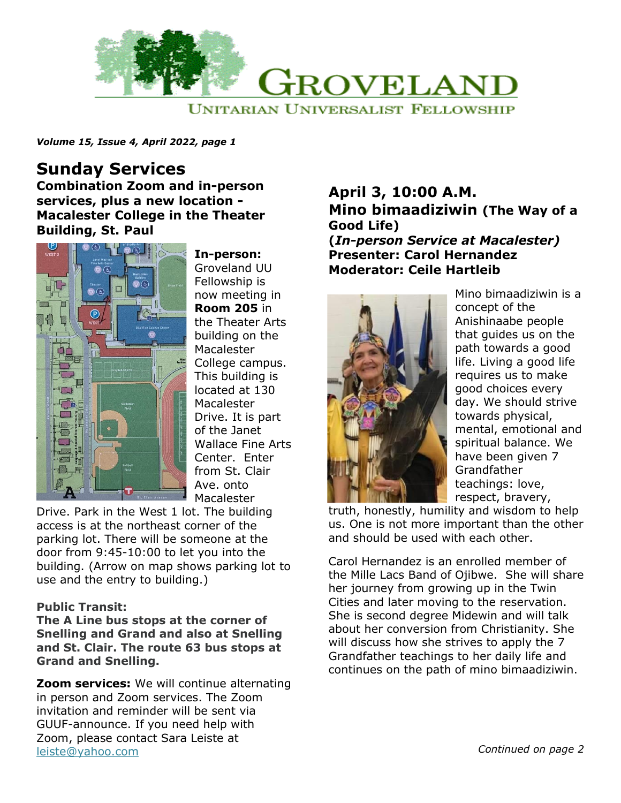

*Volume 15, Issue 4, April 2022, page 1*

# **Sunday Services**

**Combination Zoom and in-person services, plus a new location - Macalester College in the Theater Building, St. Paul**



**In-person:** Groveland UU Fellowship is now meeting in **Room 205** in the Theater Arts building on the Macalester College campus. This building is located at 130 Macalester Drive. It is part of the Janet Wallace Fine Arts Center. Enter from St. Clair Ave. onto Macalester

Drive. Park in the West 1 lot. The building access is at the northeast corner of the parking lot. There will be someone at the door from 9:45-10:00 to let you into the building. (Arrow on map shows parking lot to use and the entry to building.)

#### **Public Transit:**

**The A Line bus stops at the corner of Snelling and Grand and also at Snelling and St. Clair. The route 63 bus stops at Grand and Snelling.**

**Zoom services:** We will continue alternating in person and Zoom services. The Zoom invitation and reminder will be sent via GUUF-announce. If you need help with Zoom, please contact Sara Leiste at [leiste@yahoo.com](mailto:leiste@yahoo.com)

### **April 3, 10:00 A.M. Mino bimaadiziwin (The Way of a Good Life) (***In-person Service at Macalester)* **Presenter: Carol Hernandez Moderator: Ceile Hartleib**



Mino bimaadiziwin is a concept of the Anishinaabe people that guides us on the path towards a good life. Living a good life requires us to make good choices every day. We should strive towards physical, mental, emotional and spiritual balance. We have been given 7 Grandfather teachings: love, respect, bravery,

truth, honestly, humility and wisdom to help us. One is not more important than the other and should be used with each other.

Carol Hernandez is an enrolled member of the Mille Lacs Band of Ojibwe. She will share her journey from growing up in the Twin Cities and later moving to the reservation. She is second degree Midewin and will talk about her conversion from Christianity. She will discuss how she strives to apply the 7 Grandfather teachings to her daily life and continues on the path of mino bimaadiziwin.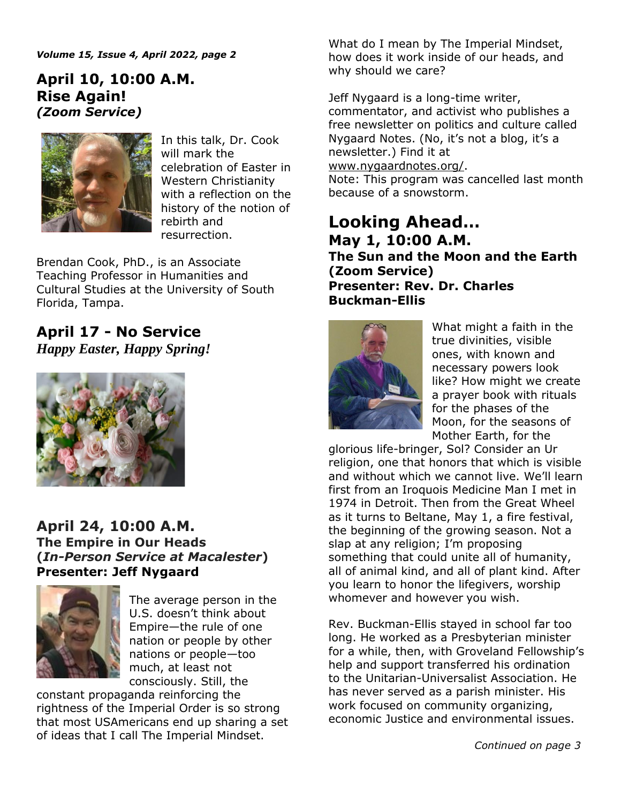*Volume 15, Issue 4, April 2022, page 2*

## **April 10, 10:00 A.M. Rise Again!** *(Zoom Service)*



In this talk, Dr. Cook will mark the celebration of Easter in Western Christianity with a reflection on the history of the notion of rebirth and resurrection.

Brendan Cook, PhD., is an Associate Teaching Professor in Humanities and Cultural Studies at the University of South Florida, Tampa.

### **April 17 - No Service** *Happy Easter, Happy Spring!*



### **April 24, 10:00 A.M. The Empire in Our Heads (***In-Person Service at Macalester***) Presenter: Jeff Nygaard**



The average person in the U.S. doesn't think about Empire—the rule of one nation or people by other nations or people—too much, at least not consciously. Still, the

constant propaganda reinforcing the rightness of the Imperial Order is so strong that most USAmericans end up sharing a set of ideas that I call The Imperial Mindset.

What do I mean by The Imperial Mindset, how does it work inside of our heads, and why should we care?

Jeff Nygaard is a long-time writer, commentator, and activist who publishes a free newsletter on politics and culture called Nygaard Notes. (No, it's not a blog, it's a newsletter.) Find it at [www.nygaardnotes.org/.](http://www.nygaardnotes.org/)

Note: This program was cancelled last month because of a snowstorm.

### **Looking Ahead… May 1, 10:00 A.M. The Sun and the Moon and the Earth (Zoom Service) Presenter: Rev. Dr. Charles Buckman-Ellis**



What might a faith in the true divinities, visible ones, with known and necessary powers look like? How might we create a prayer book with rituals for the phases of the Moon, for the seasons of Mother Earth, for the

glorious life-bringer, Sol? Consider an Ur religion, one that honors that which is visible and without which we cannot live. We'll learn first from an Iroquois Medicine Man I met in 1974 in Detroit. Then from the Great Wheel as it turns to Beltane, May 1, a fire festival, the beginning of the growing season. Not a slap at any religion; I'm proposing something that could unite all of humanity, all of animal kind, and all of plant kind. After you learn to honor the lifegivers, worship whomever and however you wish.

Rev. Buckman-Ellis stayed in school far too long. He worked as a Presbyterian minister for a while, then, with Groveland Fellowship's help and support transferred his ordination to the Unitarian-Universalist Association. He has never served as a parish minister. His work focused on community organizing, economic Justice and environmental issues.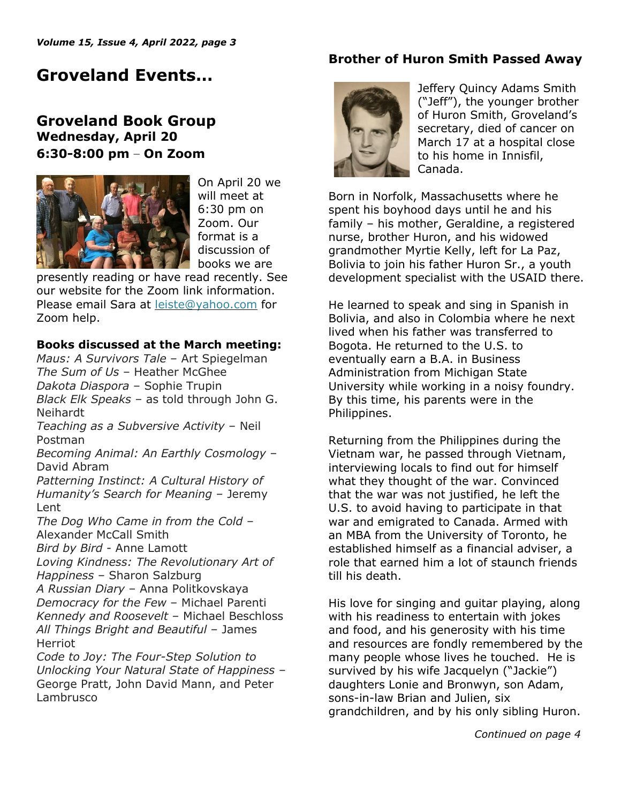# **Groveland Events…**

# **Groveland Book Group Wednesday, April 20 6:30-8:00 pm – On Zoom**



On April 20 we will meet at 6:30 pm on Zoom. Our format is a discussion of books we are

presently reading or have read recently. See our website for the Zoom link information. Please email Sara at [leiste@yahoo.com](mailto:leiste@yahoo.com) for Zoom help.

#### **Books discussed at the March meeting:**

*Maus: A Survivors Tale* – Art Spiegelman *The Sum of Us* – Heather McGhee *Dakota Diaspora* – Sophie Trupin *Black Elk Speaks* – as told through John G. Neihardt *Teaching as a Subversive Activity* – Neil Postman *Becoming Animal: An Earthly Cosmology* – David Abram *Patterning Instinct: A Cultural History of Humanity's Search for Meaning* – Jeremy Lent *The Dog Who Came in from the Cold* – Alexander McCall Smith *Bird by Bird* - Anne Lamott *Loving Kindness: The Revolutionary Art of Happiness* – Sharon Salzburg *A Russian Diary* – Anna Politkovskaya *Democracy for the Few* – Michael Parenti *Kennedy and Roosevelt* – Michael Beschloss *All Things Bright and Beautiful* – James **Herriot** *Code to Joy: The Four-Step Solution to Unlocking Your Natural State of Happiness* –

George Pratt, John David Mann, and Peter Lambrusco

### **Brother of Huron Smith Passed Away**



Jeffery Quincy Adams Smith ("Jeff"), the younger brother of Huron Smith, Groveland's secretary, died of cancer on March 17 at a hospital close to his home in Innisfil, Canada.

Born in Norfolk, Massachusetts where he spent his boyhood days until he and his family – his mother, Geraldine, a registered nurse, brother Huron, and his widowed grandmother Myrtie Kelly, left for La Paz, Bolivia to join his father Huron Sr., a youth development specialist with the USAID there.

He learned to speak and sing in Spanish in Bolivia, and also in Colombia where he next lived when his father was transferred to Bogota. He returned to the U.S. to eventually earn a B.A. in Business Administration from Michigan State University while working in a noisy foundry. By this time, his parents were in the Philippines.

Returning from the Philippines during the Vietnam war, he passed through Vietnam, interviewing locals to find out for himself what they thought of the war. Convinced that the war was not justified, he left the U.S. to avoid having to participate in that war and emigrated to Canada. Armed with an MBA from the University of Toronto, he established himself as a financial adviser, a role that earned him a lot of staunch friends till his death.

His love for singing and guitar playing, along with his readiness to entertain with jokes and food, and his generosity with his time and resources are fondly remembered by the many people whose lives he touched. He is survived by his wife Jacquelyn ("Jackie") daughters Lonie and Bronwyn, son Adam, sons-in-law Brian and Julien, six grandchildren, and by his only sibling Huron.

 *Continued on page 4*